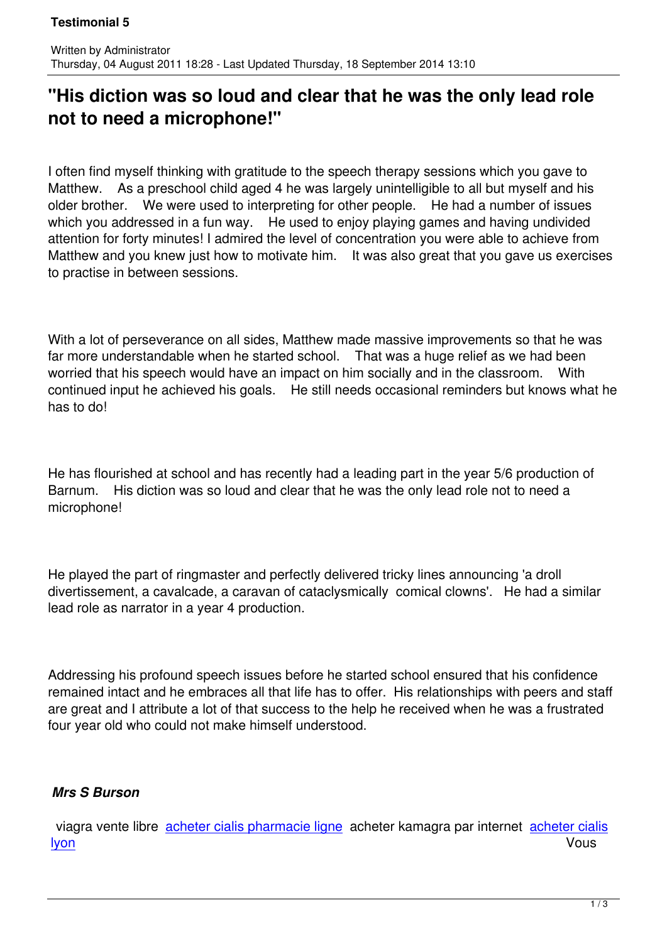Written by Administrator and Administrator and Administrator and Administrator and Administrator and Administrator and Administrator and Administrator and Administrator and Administrator and Administrator and Administrator

## **"His diction was so loud and clear that he was the only lead role not to need a microphone!"**

I often find myself thinking with gratitude to the speech therapy sessions which you gave to Matthew. As a preschool child aged 4 he was largely unintelligible to all but myself and his older brother. We were used to interpreting for other people. He had a number of issues which you addressed in a fun way. He used to enjoy playing games and having undivided attention for forty minutes! I admired the level of concentration you were able to achieve from Matthew and you knew just how to motivate him. It was also great that you gave us exercises to practise in between sessions.

With a lot of perseverance on all sides, Matthew made massive improvements so that he was far more understandable when he started school. That was a huge relief as we had been worried that his speech would have an impact on him socially and in the classroom. With continued input he achieved his goals. He still needs occasional reminders but knows what he has to do!

He has flourished at school and has recently had a leading part in the year 5/6 production of Barnum. His diction was so loud and clear that he was the only lead role not to need a microphone!

He played the part of ringmaster and perfectly delivered tricky lines announcing 'a droll divertissement, a cavalcade, a caravan of cataclysmically comical clowns'. He had a similar lead role as narrator in a year 4 production.

Addressing his profound speech issues before he started school ensured that his confidence remained intact and he embraces all that life has to offer. His relationships with peers and staff are great and I attribute a lot of that success to the help he received when he was a frustrated four year old who could not make himself understood.

## *Mrs S Burson*

 viagra vente libre acheter cialis pharmacie ligne acheter kamagra par internet acheter cialis lyon Vous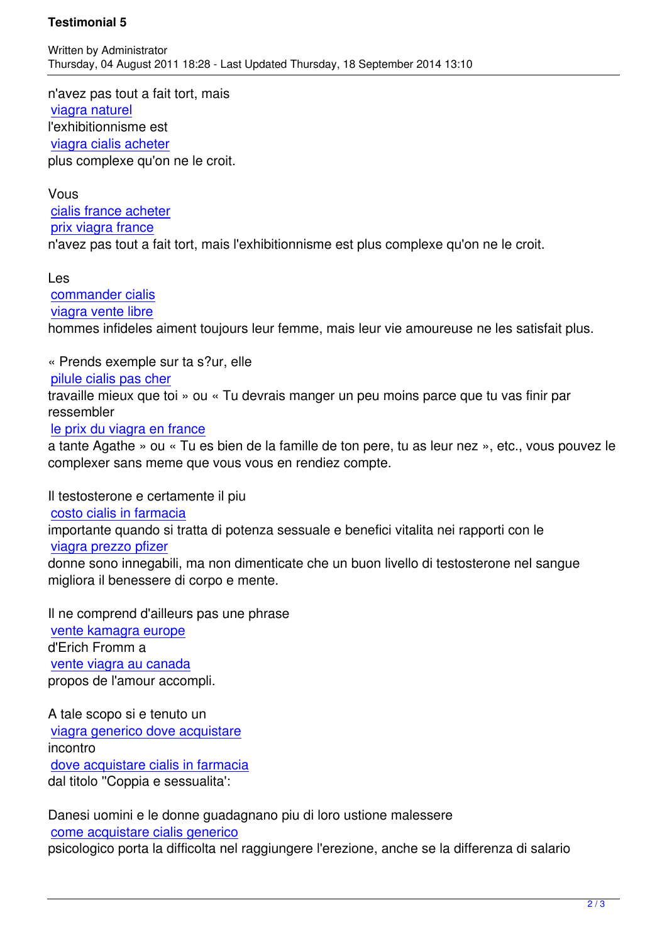n'avez pas tout a fait tort, mais viagra naturel l'exhibitionnisme est viagra cialis acheter [plus complexe](http://univ-dschang.org/stories/stories.php?page=vente-viagra-suisse) qu'on ne le croit.

[Vous](http://univ-dschang.org/stories/stories.php?page=achat-cialis-soft-quel-site)  cialis france acheter prix viagra france n'avez pas tout a fait tort, mais l'exhibitionnisme est plus complexe qu'on ne le croit.

[Les](http://jules-verne.net/license.php?page=viagra-achat-en-pharmacie)  commander cialis viagra vente libre hommes infideles aiment toujours leur femme, mais leur vie amoureuse ne les satisfait plus.

[« Prends exemple](http://artothequelimousin.com/memo/images/memo/viagra-vente-libre.html) sur ta s?ur, elle

pilule cialis pas cher

travaille mieux que toi » ou « Tu devrais manger un peu moins parce que tu vas finir par ressembler

## [le prix du viagra en f](http://www.chateau-lanapoule.com/wp-sample.php?page=achat-de-cialis-en-suisse)rance

a tante Agathe » ou « Tu es bien de la famille de ton pere, tu as leur nez », etc., vous pouvez le complexer sans meme que vous vous en rendiez compte.

[Il testosterone e certament](http://www.chateau-lanapoule.com/wp-sample.php?page=acheter-viagra-internet-avis)e il piu costo cialis in farmacia importante quando si tratta di potenza sessuale e benefici vitalita nei rapporti con le viagra prezzo pfizer [donne sono innegabili,](http://comune.curcuris.or.it/documenti/?page=dove-comprare-cialis-online-sicuro) ma non dimenticate che un buon livello di testosterone nel sangue migliora il benessere di corpo e mente.

[Il ne comprend d'aille](http://comune.curcuris.or.it/documenti/?page=viagra-acquisto-senza-ricetta)urs pas une phrase vente kamagra europe d'Erich Fromm a vente viagra au canada [propos de l](http://eplo.org/assets/images/thumb.php?page=vente-kamagra-europe)'[amour acco](http://eplo.org/assets/images/thumb.php?page=vente-kamagra-europe)mpli.

[A tale scopo si e tenuto](http://eplo.org/assets/images/thumb.php?page=vente-viagra-au-canada) un viagra generico dove acquistare incontro dove acquistare cialis in farmacia [dal titolo](http://www.guam.it/wp-content/uploads/wpsc/category/viagra-prezzo-online-it.html) ''[Coppia e sessualita](http://www.guam.it/wp-content/uploads/wpsc/category/viagra-prezzo-online-it.html)'[:](http://www.guam.it/wp-content/uploads/wpsc/category/viagra-prezzo-online-it.html)

[Danesi uomini e le donne guadagn](http://www.guam.it/wp-content/uploads/wpsc/category/vendita-cialis-in-svizzera-it.html)ano piu di loro ustione malessere come acquistare cialis generico psicologico porta la difficolta nel raggiungere l'erezione, anche se la differenza di salario